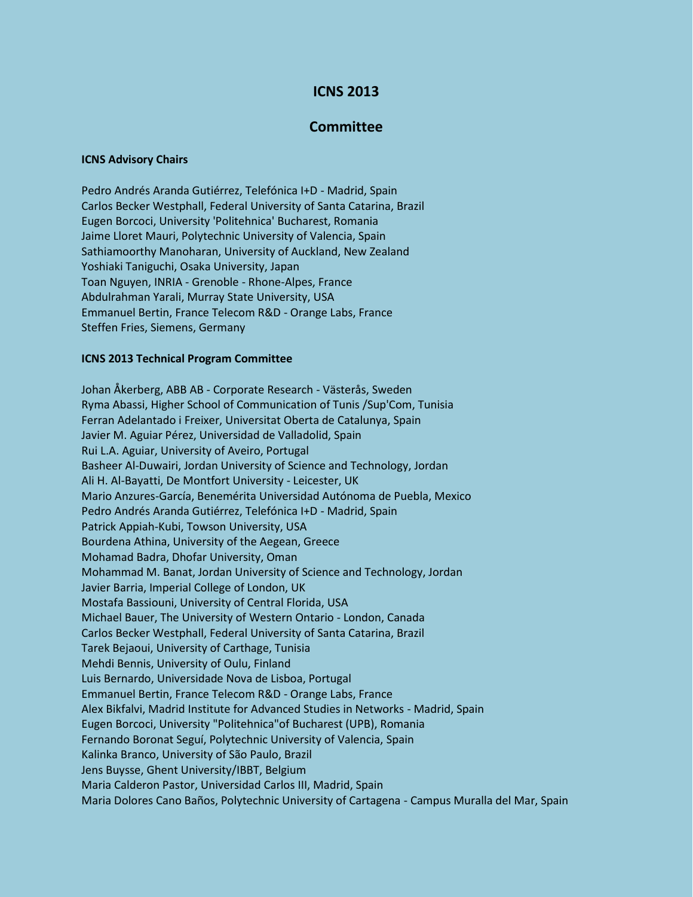# **ICNS 2013**

## **Committee**

#### **ICNS Advisory Chairs**

Pedro Andrés Aranda Gutiérrez, Telefónica I+D - Madrid, Spain Carlos Becker Westphall, Federal University of Santa Catarina, Brazil Eugen Borcoci, University 'Politehnica' Bucharest, Romania Jaime Lloret Mauri, Polytechnic University of Valencia, Spain Sathiamoorthy Manoharan, University of Auckland, New Zealand Yoshiaki Taniguchi, Osaka University, Japan Toan Nguyen, INRIA - Grenoble - Rhone-Alpes, France Abdulrahman Yarali, Murray State University, USA Emmanuel Bertin, France Telecom R&D - Orange Labs, France Steffen Fries, Siemens, Germany

#### **ICNS 2013 Technical Program Committee**

Johan Åkerberg, ABB AB - Corporate Research - Västerås, Sweden Ryma Abassi, Higher School of Communication of Tunis /Sup'Com, Tunisia Ferran Adelantado i Freixer, Universitat Oberta de Catalunya, Spain Javier M. Aguiar Pérez, Universidad de Valladolid, Spain Rui L.A. Aguiar, University of Aveiro, Portugal Basheer Al-Duwairi, Jordan University of Science and Technology, Jordan Ali H. Al-Bayatti, De Montfort University - Leicester, UK Mario Anzures-García, Benemérita Universidad Autónoma de Puebla, Mexico Pedro Andrés Aranda Gutiérrez, Telefónica I+D - Madrid, Spain Patrick Appiah-Kubi, Towson University, USA Bourdena Athina, University of the Aegean, Greece Mohamad Badra, Dhofar University, Oman Mohammad M. Banat, Jordan University of Science and Technology, Jordan Javier Barria, Imperial College of London, UK Mostafa Bassiouni, University of Central Florida, USA Michael Bauer, The University of Western Ontario - London, Canada Carlos Becker Westphall, Federal University of Santa Catarina, Brazil Tarek Bejaoui, University of Carthage, Tunisia Mehdi Bennis, University of Oulu, Finland Luis Bernardo, Universidade Nova de Lisboa, Portugal Emmanuel Bertin, France Telecom R&D - Orange Labs, France Alex Bikfalvi, Madrid Institute for Advanced Studies in Networks - Madrid, Spain Eugen Borcoci, University "Politehnica"of Bucharest (UPB), Romania Fernando Boronat Seguí, Polytechnic University of Valencia, Spain Kalinka Branco, University of São Paulo, Brazil Jens Buysse, Ghent University/IBBT, Belgium Maria Calderon Pastor, Universidad Carlos III, Madrid, Spain Maria Dolores Cano Baños, Polytechnic University of Cartagena - Campus Muralla del Mar, Spain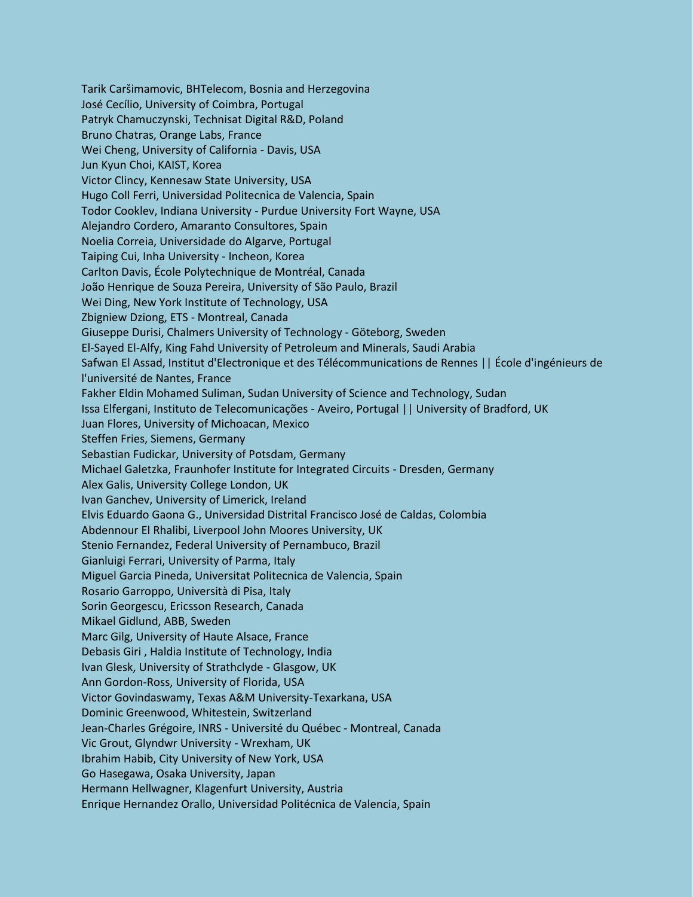Tarik Caršimamovic, BHTelecom, Bosnia and Herzegovina José Cecílio, University of Coimbra, Portugal Patryk Chamuczynski, Technisat Digital R&D, Poland Bruno Chatras, Orange Labs, France Wei Cheng, University of California - Davis, USA Jun Kyun Choi, KAIST, Korea Victor Clincy, Kennesaw State University, USA Hugo Coll Ferri, Universidad Politecnica de Valencia, Spain Todor Cooklev, Indiana University - Purdue University Fort Wayne, USA Alejandro Cordero, Amaranto Consultores, Spain Noelia Correia, Universidade do Algarve, Portugal Taiping Cui, Inha University - Incheon, Korea Carlton Davis, École Polytechnique de Montréal, Canada João Henrique de Souza Pereira, University of São Paulo, Brazil Wei Ding, New York Institute of Technology, USA Zbigniew Dziong, ETS - Montreal, Canada Giuseppe Durisi, Chalmers University of Technology - Göteborg, Sweden El-Sayed El-Alfy, King Fahd University of Petroleum and Minerals, Saudi Arabia Safwan El Assad, Institut d'Electronique et des Télécommunications de Rennes || École d'ingénieurs de l'université de Nantes, France Fakher Eldin Mohamed Suliman, Sudan University of Science and Technology, Sudan Issa Elfergani, Instituto de Telecomunicações - Aveiro, Portugal || University of Bradford, UK Juan Flores, University of Michoacan, Mexico Steffen Fries, Siemens, Germany Sebastian Fudickar, University of Potsdam, Germany Michael Galetzka, Fraunhofer Institute for Integrated Circuits - Dresden, Germany Alex Galis, University College London, UK Ivan Ganchev, University of Limerick, Ireland Elvis Eduardo Gaona G., Universidad Distrital Francisco José de Caldas, Colombia Abdennour El Rhalibi, Liverpool John Moores University, UK Stenio Fernandez, Federal University of Pernambuco, Brazil Gianluigi Ferrari, University of Parma, Italy Miguel Garcia Pineda, Universitat Politecnica de Valencia, Spain Rosario Garroppo, Università di Pisa, Italy Sorin Georgescu, Ericsson Research, Canada Mikael Gidlund, ABB, Sweden Marc Gilg, University of Haute Alsace, France Debasis Giri , Haldia Institute of Technology, India Ivan Glesk, University of Strathclyde - Glasgow, UK Ann Gordon-Ross, University of Florida, USA Victor Govindaswamy, Texas A&M University-Texarkana, USA Dominic Greenwood, Whitestein, Switzerland Jean-Charles Grégoire, INRS - Université du Québec - Montreal, Canada Vic Grout, Glyndwr University - Wrexham, UK Ibrahim Habib, City University of New York, USA Go Hasegawa, Osaka University, Japan Hermann Hellwagner, Klagenfurt University, Austria Enrique Hernandez Orallo, Universidad Politécnica de Valencia, Spain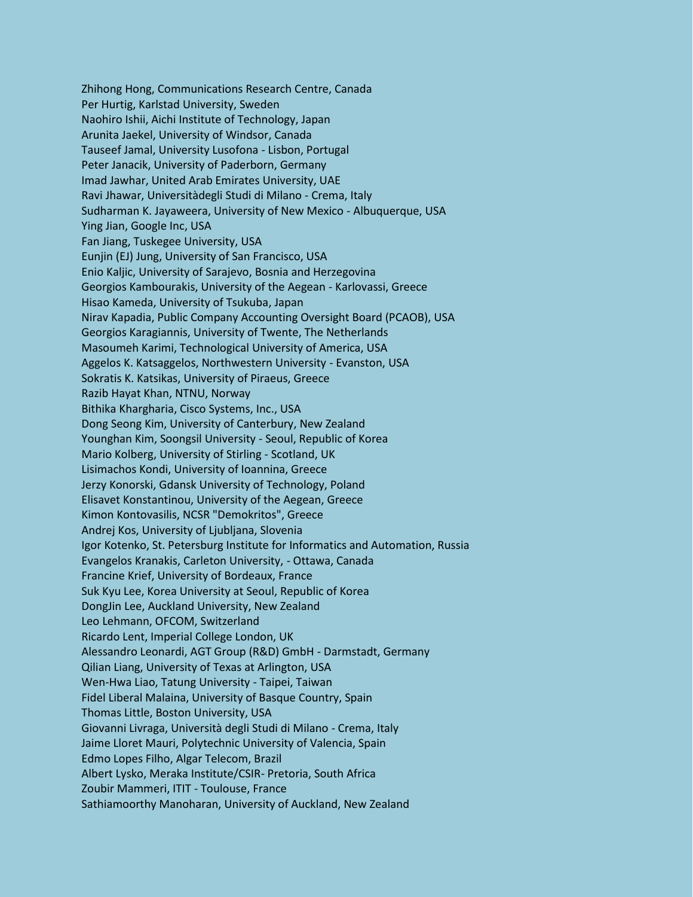Zhihong Hong, Communications Research Centre, Canada Per Hurtig, Karlstad University, Sweden Naohiro Ishii, Aichi Institute of Technology, Japan Arunita Jaekel, University of Windsor, Canada Tauseef Jamal, University Lusofona - Lisbon, Portugal Peter Janacik, University of Paderborn, Germany Imad Jawhar, United Arab Emirates University, UAE Ravi Jhawar, Universitàdegli Studi di Milano - Crema, Italy Sudharman K. Jayaweera, University of New Mexico - Albuquerque, USA Ying Jian, Google Inc, USA Fan Jiang, Tuskegee University, USA Eunjin (EJ) Jung, University of San Francisco, USA Enio Kaljic, University of Sarajevo, Bosnia and Herzegovina Georgios Kambourakis, University of the Aegean - Karlovassi, Greece Hisao Kameda, University of Tsukuba, Japan Nirav Kapadia, Public Company Accounting Oversight Board (PCAOB), USA Georgios Karagiannis, University of Twente, The Netherlands Masoumeh Karimi, Technological University of America, USA Aggelos K. Katsaggelos, Northwestern University - Evanston, USA Sokratis K. Katsikas, University of Piraeus, Greece Razib Hayat Khan, NTNU, Norway Bithika Khargharia, Cisco Systems, Inc., USA Dong Seong Kim, University of Canterbury, New Zealand Younghan Kim, Soongsil University - Seoul, Republic of Korea Mario Kolberg, University of Stirling - Scotland, UK Lisimachos Kondi, University of Ioannina, Greece Jerzy Konorski, Gdansk University of Technology, Poland Elisavet Konstantinou, University of the Aegean, Greece Kimon Kontovasilis, NCSR "Demokritos", Greece Andrej Kos, University of Ljubljana, Slovenia Igor Kotenko, St. Petersburg Institute for Informatics and Automation, Russia Evangelos Kranakis, Carleton University, - Ottawa, Canada Francine Krief, University of Bordeaux, France Suk Kyu Lee, Korea University at Seoul, Republic of Korea DongJin Lee, Auckland University, New Zealand Leo Lehmann, OFCOM, Switzerland Ricardo Lent, Imperial College London, UK Alessandro Leonardi, AGT Group (R&D) GmbH - Darmstadt, Germany Qilian Liang, University of Texas at Arlington, USA Wen-Hwa Liao, Tatung University - Taipei, Taiwan Fidel Liberal Malaina, University of Basque Country, Spain Thomas Little, Boston University, USA Giovanni Livraga, Università degli Studi di Milano - Crema, Italy Jaime Lloret Mauri, Polytechnic University of Valencia, Spain Edmo Lopes Filho, Algar Telecom, Brazil Albert Lysko, Meraka Institute/CSIR- Pretoria, South Africa Zoubir Mammeri, ITIT - Toulouse, France Sathiamoorthy Manoharan, University of Auckland, New Zealand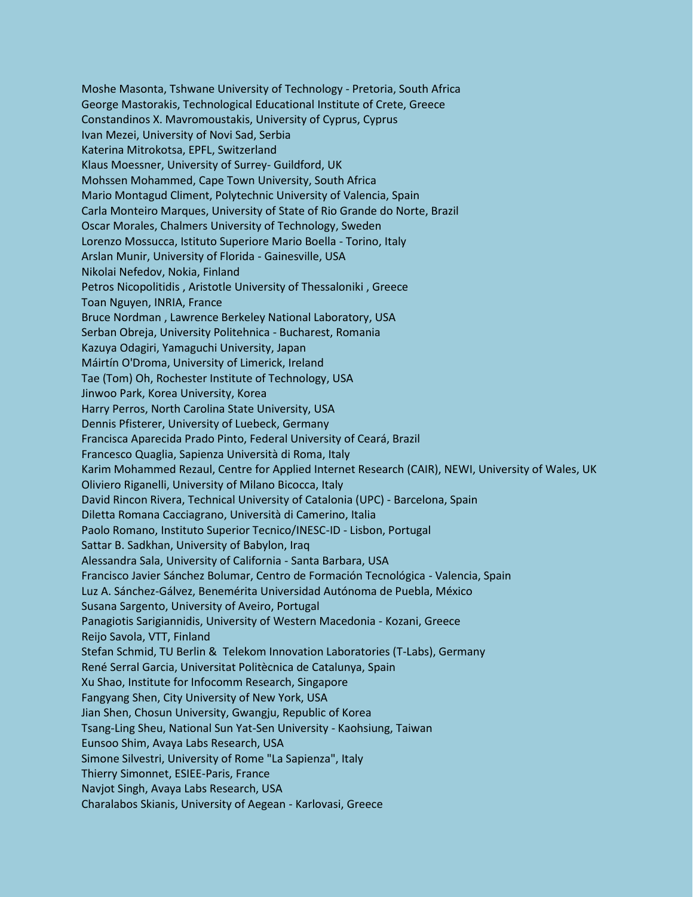Moshe Masonta, Tshwane University of Technology - Pretoria, South Africa George Mastorakis, Technological Educational Institute of Crete, Greece Constandinos X. Mavromoustakis, University of Cyprus, Cyprus Ivan Mezei, University of Novi Sad, Serbia Katerina Mitrokotsa, EPFL, Switzerland Klaus Moessner, University of Surrey- Guildford, UK Mohssen Mohammed, Cape Town University, South Africa Mario Montagud Climent, Polytechnic University of Valencia, Spain Carla Monteiro Marques, University of State of Rio Grande do Norte, Brazil Oscar Morales, Chalmers University of Technology, Sweden Lorenzo Mossucca, Istituto Superiore Mario Boella - Torino, Italy Arslan Munir, University of Florida - Gainesville, USA Nikolai Nefedov, Nokia, Finland Petros Nicopolitidis , Aristotle University of Thessaloniki , Greece Toan Nguyen, INRIA, France Bruce Nordman , Lawrence Berkeley National Laboratory, USA Serban Obreja, University Politehnica - Bucharest, Romania Kazuya Odagiri, Yamaguchi University, Japan Máirtín O'Droma, University of Limerick, Ireland Tae (Tom) Oh, Rochester Institute of Technology, USA Jinwoo Park, Korea University, Korea Harry Perros, North Carolina State University, USA Dennis Pfisterer, University of Luebeck, Germany Francisca Aparecida Prado Pinto, Federal University of Ceará, Brazil Francesco Quaglia, Sapienza Università di Roma, Italy Karim Mohammed Rezaul, Centre for Applied Internet Research (CAIR), NEWI, University of Wales, UK Oliviero Riganelli, University of Milano Bicocca, Italy David Rincon Rivera, Technical University of Catalonia (UPC) - Barcelona, Spain Diletta Romana Cacciagrano, Università di Camerino, Italia Paolo Romano, Instituto Superior Tecnico/INESC-ID - Lisbon, Portugal Sattar B. Sadkhan, University of Babylon, Iraq Alessandra Sala, University of California - Santa Barbara, USA Francisco Javier Sánchez Bolumar, Centro de Formación Tecnológica - Valencia, Spain Luz A. Sánchez-Gálvez, Benemérita Universidad Autónoma de Puebla, México Susana Sargento, University of Aveiro, Portugal Panagiotis Sarigiannidis, University of Western Macedonia - Kozani, Greece Reijo Savola, VTT, Finland Stefan Schmid, TU Berlin & Telekom Innovation Laboratories (T-Labs), Germany René Serral Garcia, Universitat Politècnica de Catalunya, Spain Xu Shao, Institute for Infocomm Research, Singapore Fangyang Shen, City University of New York, USA Jian Shen, Chosun University, Gwangju, Republic of Korea Tsang-Ling Sheu, National Sun Yat-Sen University - Kaohsiung, Taiwan Eunsoo Shim, Avaya Labs Research, USA Simone Silvestri, University of Rome "La Sapienza", Italy Thierry Simonnet, ESIEE-Paris, France Navjot Singh, Avaya Labs Research, USA Charalabos Skianis, University of Aegean - Karlovasi, Greece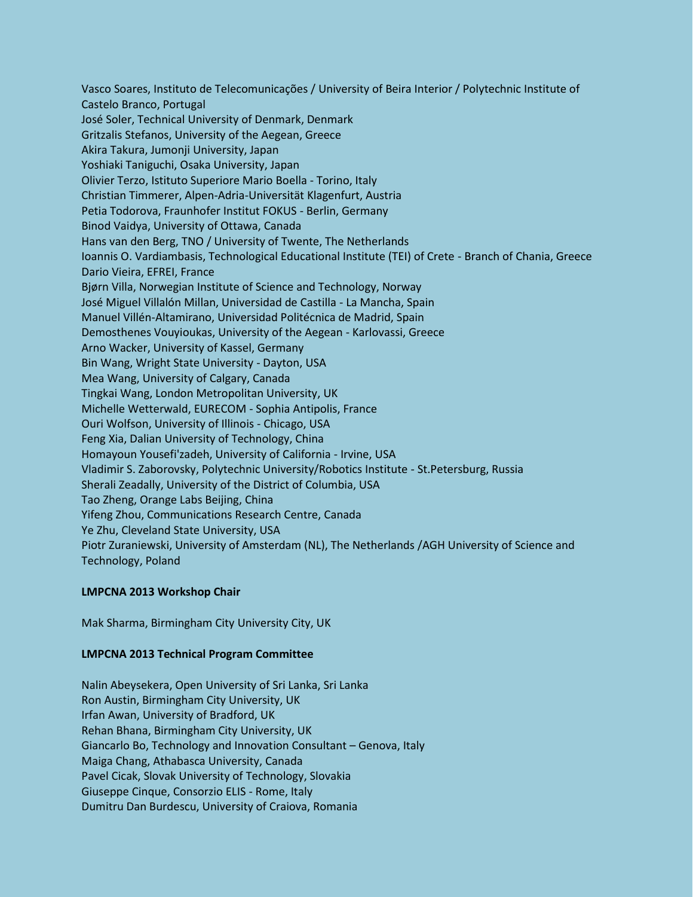Vasco Soares, Instituto de Telecomunicações / University of Beira Interior / Polytechnic Institute of Castelo Branco, Portugal José Soler, Technical University of Denmark, Denmark Gritzalis Stefanos, University of the Aegean, Greece Akira Takura, Jumonji University, Japan Yoshiaki Taniguchi, Osaka University, Japan Olivier Terzo, Istituto Superiore Mario Boella - Torino, Italy Christian Timmerer, Alpen-Adria-Universität Klagenfurt, Austria Petia Todorova, Fraunhofer Institut FOKUS - Berlin, Germany Binod Vaidya, University of Ottawa, Canada Hans van den Berg, TNO / University of Twente, The Netherlands Ioannis O. Vardiambasis, Technological Educational Institute (TEI) of Crete - Branch of Chania, Greece Dario Vieira, EFREI, France Bjørn Villa, Norwegian Institute of Science and Technology, Norway José Miguel Villalón Millan, Universidad de Castilla - La Mancha, Spain Manuel Villén-Altamirano, Universidad Politécnica de Madrid, Spain Demosthenes Vouyioukas, University of the Aegean - Karlovassi, Greece Arno Wacker, University of Kassel, Germany Bin Wang, Wright State University - Dayton, USA Mea Wang, University of Calgary, Canada Tingkai Wang, London Metropolitan University, UK Michelle Wetterwald, EURECOM - Sophia Antipolis, France Ouri Wolfson, University of Illinois - Chicago, USA Feng Xia, Dalian University of Technology, China Homayoun Yousefi'zadeh, University of California - Irvine, USA Vladimir S. Zaborovsky, Polytechnic University/Robotics Institute - St.Petersburg, Russia Sherali Zeadally, University of the District of Columbia, USA Tao Zheng, Orange Labs Beijing, China Yifeng Zhou, Communications Research Centre, Canada Ye Zhu, Cleveland State University, USA Piotr Zuraniewski, University of Amsterdam (NL), The Netherlands /AGH University of Science and Technology, Poland

## **LMPCNA 2013 Workshop Chair**

Mak Sharma, Birmingham City University City, UK

## **LMPCNA 2013 Technical Program Committee**

Nalin Abeysekera, Open University of Sri Lanka, Sri Lanka Ron Austin, Birmingham City University, UK Irfan Awan, University of Bradford, UK Rehan Bhana, Birmingham City University, UK Giancarlo Bo, Technology and Innovation Consultant – Genova, Italy Maiga Chang, Athabasca University, Canada Pavel Cicak, Slovak University of Technology, Slovakia Giuseppe Cinque, Consorzio ELIS - Rome, Italy Dumitru Dan Burdescu, University of Craiova, Romania